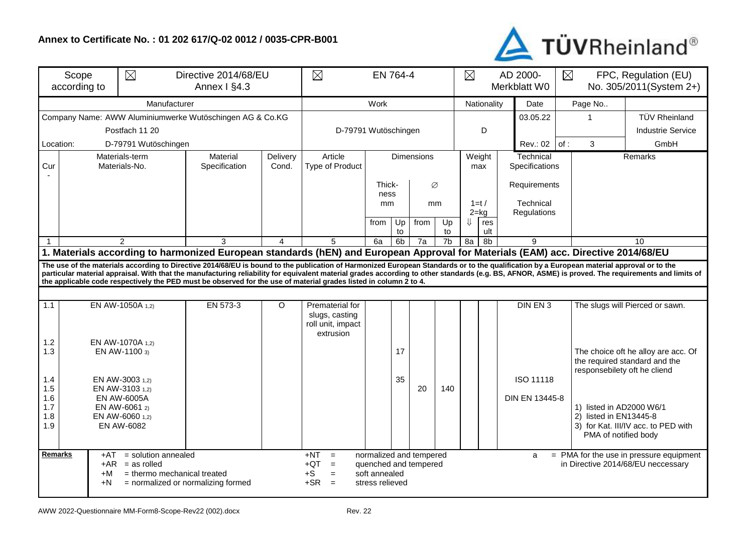## **Annex to Certificate No. : 01 202 617/Q-02 0012 / 0035-CPR-B001**



| Scope<br>according to                                                                                                                              |                                                          | $\boxtimes$<br>Directive 2014/68/EU                      | $\boxtimes$<br>EN 764-4                                                                                                                                                                                                                                                                                        |                   |                                                                       |                                                                                                                                                                            |                |             | $\boxtimes$ | AD 2000-<br>Merkblatt W0 |               | $\boxtimes$<br>FPC, Regulation (EU)<br>No. 305/2011(System 2+) |     |                                                                            |                                                                                                                                                                                                     |  |
|----------------------------------------------------------------------------------------------------------------------------------------------------|----------------------------------------------------------|----------------------------------------------------------|----------------------------------------------------------------------------------------------------------------------------------------------------------------------------------------------------------------------------------------------------------------------------------------------------------------|-------------------|-----------------------------------------------------------------------|----------------------------------------------------------------------------------------------------------------------------------------------------------------------------|----------------|-------------|-------------|--------------------------|---------------|----------------------------------------------------------------|-----|----------------------------------------------------------------------------|-----------------------------------------------------------------------------------------------------------------------------------------------------------------------------------------------------|--|
|                                                                                                                                                    |                                                          | Work                                                     |                                                                                                                                                                                                                                                                                                                |                   |                                                                       |                                                                                                                                                                            |                | Nationality | Date        | Page No                  |               |                                                                |     |                                                                            |                                                                                                                                                                                                     |  |
|                                                                                                                                                    | Company Name: AWW Aluminiumwerke Wutöschingen AG & Co.KG |                                                          |                                                                                                                                                                                                                                                                                                                |                   |                                                                       |                                                                                                                                                                            |                |             | 03.05.22    | -1                       |               | <b>TÜV Rheinland</b>                                           |     |                                                                            |                                                                                                                                                                                                     |  |
| Postfach 11 20                                                                                                                                     |                                                          |                                                          |                                                                                                                                                                                                                                                                                                                |                   | D-79791 Wutöschingen                                                  |                                                                                                                                                                            |                |             |             |                          | D             |                                                                |     |                                                                            | <b>Industrie Service</b>                                                                                                                                                                            |  |
| Location:<br>D-79791 Wutöschingen                                                                                                                  |                                                          |                                                          |                                                                                                                                                                                                                                                                                                                |                   |                                                                       |                                                                                                                                                                            |                |             |             |                          |               | Rev.: 02                                                       | of: | 3                                                                          | GmbH                                                                                                                                                                                                |  |
| Cur                                                                                                                                                | Materials-term<br>Materials-No.                          |                                                          | Material<br>Specification                                                                                                                                                                                                                                                                                      | Delivery<br>Cond. | Article<br>Type of Product                                            | <b>Dimensions</b>                                                                                                                                                          |                |             |             |                          | Weight<br>max | Technical<br>Specifications                                    |     |                                                                            | Remarks                                                                                                                                                                                             |  |
|                                                                                                                                                    |                                                          |                                                          |                                                                                                                                                                                                                                                                                                                | Thick-<br>Ø       |                                                                       |                                                                                                                                                                            |                |             |             |                          | Requirements  |                                                                |     |                                                                            |                                                                                                                                                                                                     |  |
|                                                                                                                                                    |                                                          |                                                          |                                                                                                                                                                                                                                                                                                                |                   | ness<br>mm<br>mm                                                      |                                                                                                                                                                            |                |             |             |                          | $1=t/$        | Technical                                                      |     |                                                                            |                                                                                                                                                                                                     |  |
|                                                                                                                                                    |                                                          |                                                          |                                                                                                                                                                                                                                                                                                                |                   |                                                                       |                                                                                                                                                                            |                |             |             |                          | $2 = kq$      | Regulations                                                    |     |                                                                            |                                                                                                                                                                                                     |  |
|                                                                                                                                                    |                                                          |                                                          |                                                                                                                                                                                                                                                                                                                |                   |                                                                       | from                                                                                                                                                                       | Up<br>to       | from        | Up<br>to    | $\Downarrow$             | res<br>ult    |                                                                |     |                                                                            |                                                                                                                                                                                                     |  |
|                                                                                                                                                    |                                                          | $\mathcal{P}$                                            | 3                                                                                                                                                                                                                                                                                                              | $\overline{4}$    | 5                                                                     | 6a                                                                                                                                                                         | 6 <sub>b</sub> | 7a          | 7b          | 8a                       | 8b            | 9                                                              |     | 10                                                                         |                                                                                                                                                                                                     |  |
|                                                                                                                                                    |                                                          |                                                          | 1. Materials according to harmonized European standards (hEN) and European Approval for Materials (EAM) acc. Directive 2014/68/EU                                                                                                                                                                              |                   |                                                                       |                                                                                                                                                                            |                |             |             |                          |               |                                                                |     |                                                                            |                                                                                                                                                                                                     |  |
|                                                                                                                                                    |                                                          |                                                          | The use of the materials according to Directive 2014/68/EU is bound to the publication of Harmonized European Standards or to the qualification by a European material approval or to the<br>the applicable code respectively the PED must be observed for the use of material grades listed in column 2 to 4. |                   |                                                                       |                                                                                                                                                                            |                |             |             |                          |               |                                                                |     |                                                                            | particular material appraisal. With that the manufacturing reliability for equivalent material grades according to other standards (e.g. BS, AFNOR, ASME) is proved. The requirements and limits of |  |
|                                                                                                                                                    |                                                          |                                                          |                                                                                                                                                                                                                                                                                                                |                   |                                                                       |                                                                                                                                                                            |                |             |             |                          |               |                                                                |     |                                                                            |                                                                                                                                                                                                     |  |
| 1.1                                                                                                                                                |                                                          | EN AW-1050A 1,2)                                         | EN 573-3                                                                                                                                                                                                                                                                                                       | $\circ$           | Prematerial for<br>slugs, casting<br>roll unit, impact<br>extrusion   |                                                                                                                                                                            |                |             |             |                          |               | DIN EN 3                                                       |     |                                                                            | The slugs will Pierced or sawn.                                                                                                                                                                     |  |
| 1.2<br>1.3                                                                                                                                         |                                                          | EN AW-1070A 1,2)<br>EN AW-1100 3)                        |                                                                                                                                                                                                                                                                                                                |                   |                                                                       |                                                                                                                                                                            | 17             |             |             |                          |               |                                                                |     | responsebilety oft he cliend                                               | The choice oft he alloy are acc. Of<br>the required standard and the                                                                                                                                |  |
| 1.4<br>1.5<br>1.6                                                                                                                                  |                                                          | EN AW-3003 1,2)<br>EN AW-3103 1,2)<br><b>EN AW-6005A</b> |                                                                                                                                                                                                                                                                                                                |                   |                                                                       |                                                                                                                                                                            | 35             | 20          | 140         |                          |               | ISO 11118<br>DIN EN 13445-8                                    |     |                                                                            |                                                                                                                                                                                                     |  |
| 1.7<br>1.8<br>1.9                                                                                                                                  |                                                          | EN AW-6061 2)<br>EN AW-6060 1,2)<br>EN AW-6082           |                                                                                                                                                                                                                                                                                                                |                   |                                                                       |                                                                                                                                                                            |                |             |             |                          |               |                                                                |     | 1) listed in AD2000 W6/1<br>2) listed in EN13445-8<br>PMA of notified body | 3) for Kat. III/IV acc. to PED with                                                                                                                                                                 |  |
| <b>Remarks</b><br>= solution annealed<br>+AT<br>$+AR$ = as rolled<br>= thermo mechanical treated<br>+M<br>= normalized or normalizing formed<br>+N |                                                          |                                                          |                                                                                                                                                                                                                                                                                                                |                   | $+NT$<br>$=$<br>$+QT$<br>$\equiv$<br>$+S$<br>$=$<br>$+SR$<br>$\equiv$ | normalized and tempered<br>= PMA for the use in pressure equipment<br>a<br>quenched and tempered<br>in Directive 2014/68/EU neccessary<br>soft annealed<br>stress relieved |                |             |             |                          |               |                                                                |     |                                                                            |                                                                                                                                                                                                     |  |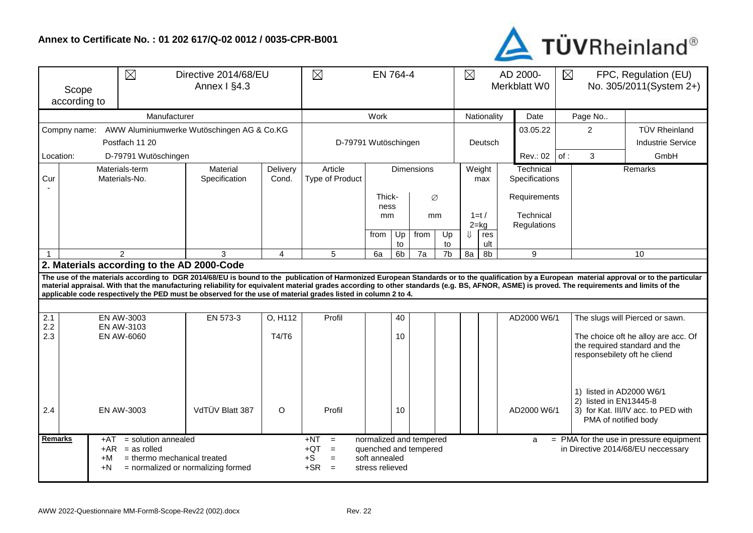## **Annex to Certificate No. : 01 202 617/Q-02 0012 / 0035-CPR-B001**



| $\boxtimes$<br>Scope<br>according to                                                                                                                                                                                                                                                                                                                                                                                                                                                                            |                                                            | Directive 2014/68/EU<br>Annex I §4.3       | $\boxtimes$               |                   | $\boxtimes$                                                           |                                  |                              | AD 2000-<br>Merkblatt W0                                                                                                                 | $\boxtimes$<br>FPC, Regulation (EU)<br>No. 305/2011(System 2+) |                      |                          |                                                                            |                                     |  |                                                                                                      |                                 |
|-----------------------------------------------------------------------------------------------------------------------------------------------------------------------------------------------------------------------------------------------------------------------------------------------------------------------------------------------------------------------------------------------------------------------------------------------------------------------------------------------------------------|------------------------------------------------------------|--------------------------------------------|---------------------------|-------------------|-----------------------------------------------------------------------|----------------------------------|------------------------------|------------------------------------------------------------------------------------------------------------------------------------------|----------------------------------------------------------------|----------------------|--------------------------|----------------------------------------------------------------------------|-------------------------------------|--|------------------------------------------------------------------------------------------------------|---------------------------------|
|                                                                                                                                                                                                                                                                                                                                                                                                                                                                                                                 |                                                            | Manufacturer                               |                           |                   | Nationality                                                           |                                  |                              | Date                                                                                                                                     |                                                                | Page No              |                          |                                                                            |                                     |  |                                                                                                      |                                 |
|                                                                                                                                                                                                                                                                                                                                                                                                                                                                                                                 | AWW Aluminiumwerke Wutöschingen AG & Co.KG<br>Compny name: |                                            |                           |                   |                                                                       |                                  | 03.05.22                     | $\overline{2}$                                                                                                                           |                                                                | <b>TÜV Rheinland</b> |                          |                                                                            |                                     |  |                                                                                                      |                                 |
|                                                                                                                                                                                                                                                                                                                                                                                                                                                                                                                 | Postfach 11 20                                             | D-79791 Wutöschingen                       |                           |                   |                                                                       |                                  |                              | Deutsch                                                                                                                                  |                                                                |                      |                          |                                                                            | <b>Industrie Service</b>            |  |                                                                                                      |                                 |
| D-79791 Wutöschingen<br>Location:                                                                                                                                                                                                                                                                                                                                                                                                                                                                               |                                                            |                                            |                           |                   |                                                                       |                                  |                              |                                                                                                                                          |                                                                |                      |                          |                                                                            | Rev.: 02   of:                      |  | 3                                                                                                    | GmbH                            |
| Materials-term<br>Cur<br>Materials-No.                                                                                                                                                                                                                                                                                                                                                                                                                                                                          |                                                            |                                            | Material<br>Specification | Delivery<br>Cond. | Article<br><b>Type of Product</b>                                     |                                  | <b>Dimensions</b>            |                                                                                                                                          |                                                                |                      | Weight<br>max            |                                                                            | Technical<br>Specifications         |  |                                                                                                      | Remarks                         |
|                                                                                                                                                                                                                                                                                                                                                                                                                                                                                                                 |                                                            |                                            |                           |                   |                                                                       |                                  | Thick-<br>Ø<br>ness          |                                                                                                                                          |                                                                |                      |                          | Requirements                                                               |                                     |  |                                                                                                      |                                 |
|                                                                                                                                                                                                                                                                                                                                                                                                                                                                                                                 |                                                            |                                            |                           |                   |                                                                       |                                  | mm<br>mm                     |                                                                                                                                          | $1=t/$<br>$2 = kg$                                             |                      | Technical<br>Regulations |                                                                            |                                     |  |                                                                                                      |                                 |
|                                                                                                                                                                                                                                                                                                                                                                                                                                                                                                                 |                                                            |                                            |                           |                   |                                                                       | from                             | Up<br>from<br>Up<br>to<br>to |                                                                                                                                          |                                                                |                      | ⇓<br>res<br>ult          |                                                                            |                                     |  |                                                                                                      |                                 |
|                                                                                                                                                                                                                                                                                                                                                                                                                                                                                                                 |                                                            | 5                                          | 6a                        | 6 <sub>b</sub>    | 7a                                                                    | 7b                               | 8a                           | 8b                                                                                                                                       |                                                                | 9                    |                          |                                                                            | 10                                  |  |                                                                                                      |                                 |
|                                                                                                                                                                                                                                                                                                                                                                                                                                                                                                                 |                                                            | 2. Materials according to the AD 2000-Code |                           |                   |                                                                       |                                  |                              |                                                                                                                                          |                                                                |                      |                          |                                                                            |                                     |  |                                                                                                      |                                 |
| The use of the materials according to DGR 2014/68/EU is bound to the publication of Harmonized European Standards or to the qualification by a European material approval or to the particular<br>material appraisal. With that the manufacturing reliability for equivalent material grades according to other standards (e.g. BS, AFNOR, ASME) is proved. The requirements and limits of the<br>applicable code respectively the PED must be observed for the use of material grades listed in column 2 to 4. |                                                            |                                            |                           |                   |                                                                       |                                  |                              |                                                                                                                                          |                                                                |                      |                          |                                                                            |                                     |  |                                                                                                      |                                 |
|                                                                                                                                                                                                                                                                                                                                                                                                                                                                                                                 |                                                            |                                            |                           |                   |                                                                       |                                  |                              |                                                                                                                                          |                                                                |                      |                          |                                                                            |                                     |  |                                                                                                      |                                 |
| $\overline{2.1}$<br>2.2                                                                                                                                                                                                                                                                                                                                                                                                                                                                                         |                                                            | <b>EN AW-3003</b>                          | EN 573-3                  | O. H112           | Profil                                                                |                                  | 40                           |                                                                                                                                          |                                                                |                      |                          |                                                                            | AD2000 W6/1                         |  |                                                                                                      | The slugs will Pierced or sawn. |
| EN AW-3103<br>2.3<br>EN AW-6060                                                                                                                                                                                                                                                                                                                                                                                                                                                                                 |                                                            |                                            | T4/T6                     |                   |                                                                       | 10                               |                              |                                                                                                                                          |                                                                |                      |                          |                                                                            |                                     |  | The choice oft he alloy are acc. Of<br>the required standard and the<br>responsebilety oft he cliend |                                 |
| 2.4                                                                                                                                                                                                                                                                                                                                                                                                                                                                                                             |                                                            | EN AW-3003                                 | VdTÜV Blatt 387           | $\circ$           | Profil                                                                |                                  | 10                           |                                                                                                                                          |                                                                | AD2000 W6/1          |                          | 1) listed in AD2000 W6/1<br>2) listed in EN13445-8<br>PMA of notified body | 3) for Kat. III/IV acc. to PED with |  |                                                                                                      |                                 |
| <b>Remarks</b><br>$=$ solution annealed<br>$+AT$<br>$+AR$ = as rolled<br>+M<br>$=$ thermo mechanical treated<br>+N<br>= normalized or normalizing formed                                                                                                                                                                                                                                                                                                                                                        |                                                            |                                            |                           |                   | $+NT$<br>$=$<br>$+QT$<br>$\equiv$<br>$+S$<br>$=$<br>$+SR$<br>$\equiv$ | soft annealed<br>stress relieved |                              | normalized and tempered<br>$=$ PMA for the use in pressure equipment<br>a<br>quenched and tempered<br>in Directive 2014/68/EU neccessary |                                                                |                      |                          |                                                                            |                                     |  |                                                                                                      |                                 |